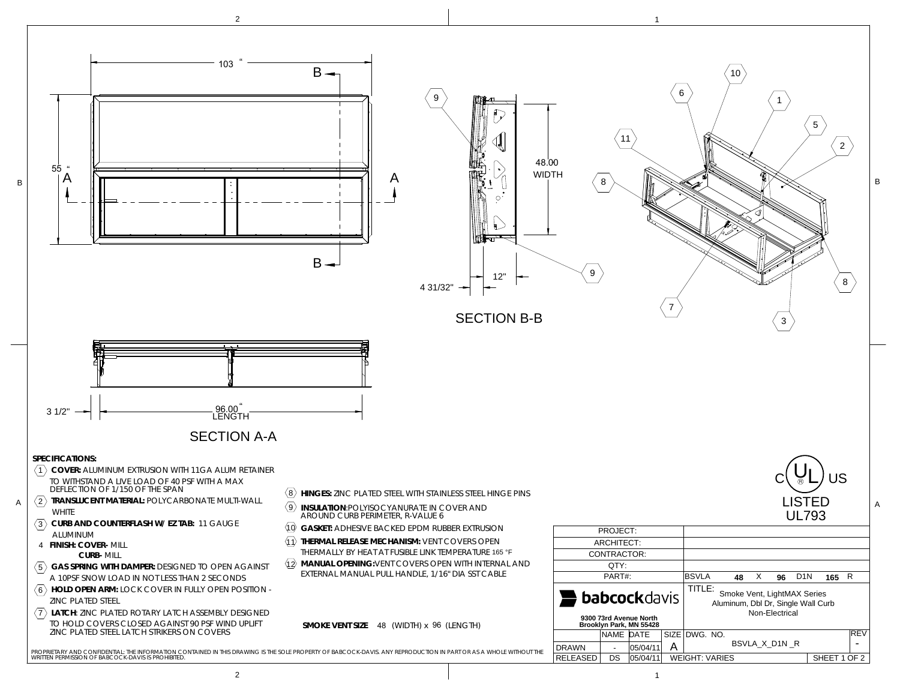

2

 $2$  and  $1$  and  $1$  and  $1$  and  $1$  and  $1$  and  $1$  and  $1$  and  $1$  and  $1$  and  $1$  and  $1$  and  $1$  and  $1$  and  $1$  and  $1$  and  $1$  and  $1$  and  $1$  and  $1$  and  $1$  and  $1$  and  $1$  and  $1$  and  $1$  and  $1$  and  $1$  and  $1$  a